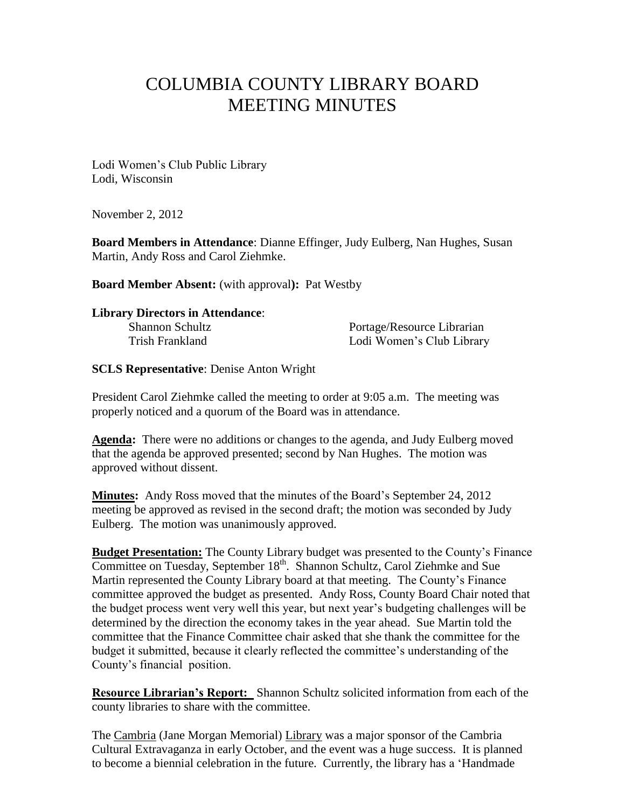# COLUMBIA COUNTY LIBRARY BOARD MEETING MINUTES

Lodi Women's Club Public Library Lodi, Wisconsin

November 2, 2012

**Board Members in Attendance**: Dianne Effinger, Judy Eulberg, Nan Hughes, Susan Martin, Andy Ross and Carol Ziehmke.

**Board Member Absent:** (with approval**):** Pat Westby

## **Library Directors in Attendance**:

Shannon Schultz Portage/Resource Librarian Trish Frankland Lodi Women's Club Library

## **SCLS Representative**: Denise Anton Wright

President Carol Ziehmke called the meeting to order at 9:05 a.m. The meeting was properly noticed and a quorum of the Board was in attendance.

**Agenda:** There were no additions or changes to the agenda, and Judy Eulberg moved that the agenda be approved presented; second by Nan Hughes. The motion was approved without dissent.

**Minutes:** Andy Ross moved that the minutes of the Board's September 24, 2012 meeting be approved as revised in the second draft; the motion was seconded by Judy Eulberg. The motion was unanimously approved.

**Budget Presentation:** The County Library budget was presented to the County's Finance Committee on Tuesday, September 18<sup>th</sup>. Shannon Schultz, Carol Ziehmke and Sue Martin represented the County Library board at that meeting. The County's Finance committee approved the budget as presented. Andy Ross, County Board Chair noted that the budget process went very well this year, but next year's budgeting challenges will be determined by the direction the economy takes in the year ahead. Sue Martin told the committee that the Finance Committee chair asked that she thank the committee for the budget it submitted, because it clearly reflected the committee's understanding of the County's financial position.

**Resource Librarian's Report:** Shannon Schultz solicited information from each of the county libraries to share with the committee.

The Cambria (Jane Morgan Memorial) Library was a major sponsor of the Cambria Cultural Extravaganza in early October, and the event was a huge success. It is planned to become a biennial celebration in the future. Currently, the library has a 'Handmade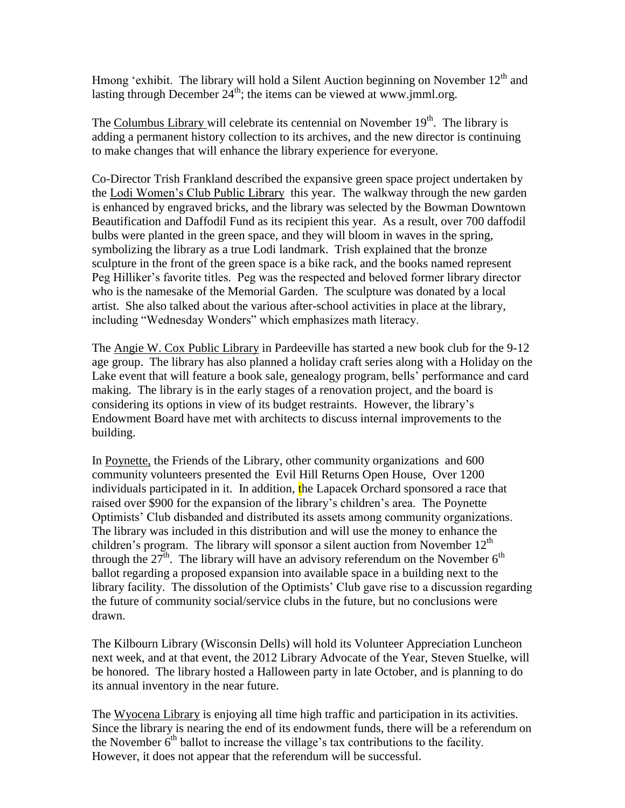Hmong 'exhibit. The library will hold a Silent Auction beginning on November  $12<sup>th</sup>$  and lasting through December  $24^{\text{th}}$ ; the items can be viewed at www.jmml.org.

The Columbus Library will celebrate its centennial on November  $19<sup>th</sup>$ . The library is adding a permanent history collection to its archives, and the new director is continuing to make changes that will enhance the library experience for everyone.

Co-Director Trish Frankland described the expansive green space project undertaken by the Lodi Women's Club Public Library this year. The walkway through the new garden is enhanced by engraved bricks, and the library was selected by the Bowman Downtown Beautification and Daffodil Fund as its recipient this year. As a result, over 700 daffodil bulbs were planted in the green space, and they will bloom in waves in the spring, symbolizing the library as a true Lodi landmark. Trish explained that the bronze sculpture in the front of the green space is a bike rack, and the books named represent Peg Hilliker's favorite titles. Peg was the respected and beloved former library director who is the namesake of the Memorial Garden. The sculpture was donated by a local artist. She also talked about the various after-school activities in place at the library, including "Wednesday Wonders" which emphasizes math literacy.

The Angie W. Cox Public Library in Pardeeville has started a new book club for the 9-12 age group. The library has also planned a holiday craft series along with a Holiday on the Lake event that will feature a book sale, genealogy program, bells' performance and card making. The library is in the early stages of a renovation project, and the board is considering its options in view of its budget restraints. However, the library's Endowment Board have met with architects to discuss internal improvements to the building.

In Poynette, the Friends of the Library, other community organizations and 600 community volunteers presented the Evil Hill Returns Open House, Over 1200 individuals participated in it. In addition, the Lapacek Orchard sponsored a race that raised over \$900 for the expansion of the library's children's area. The Poynette Optimists' Club disbanded and distributed its assets among community organizations. The library was included in this distribution and will use the money to enhance the children's program. The library will sponsor a silent auction from November  $12<sup>th</sup>$ through the  $27<sup>th</sup>$ . The library will have an advisory referendum on the November  $6<sup>th</sup>$ ballot regarding a proposed expansion into available space in a building next to the library facility. The dissolution of the Optimists' Club gave rise to a discussion regarding the future of community social/service clubs in the future, but no conclusions were drawn.

The Kilbourn Library (Wisconsin Dells) will hold its Volunteer Appreciation Luncheon next week, and at that event, the 2012 Library Advocate of the Year, Steven Stuelke, will be honored. The library hosted a Halloween party in late October, and is planning to do its annual inventory in the near future.

The Wyocena Library is enjoying all time high traffic and participation in its activities. Since the library is nearing the end of its endowment funds, there will be a referendum on the November  $6<sup>th</sup>$  ballot to increase the village's tax contributions to the facility. However, it does not appear that the referendum will be successful.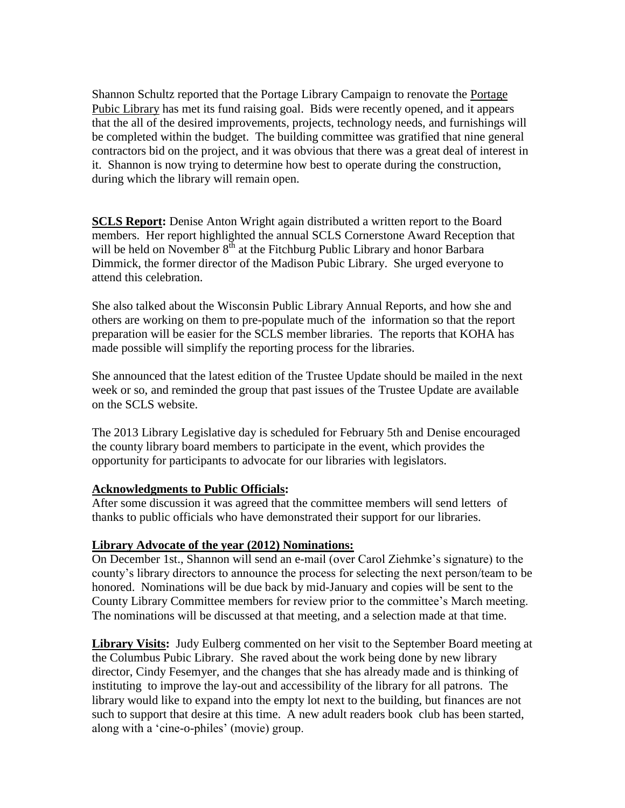Shannon Schultz reported that the Portage Library Campaign to renovate the Portage Pubic Library has met its fund raising goal. Bids were recently opened, and it appears that the all of the desired improvements, projects, technology needs, and furnishings will be completed within the budget. The building committee was gratified that nine general contractors bid on the project, and it was obvious that there was a great deal of interest in it. Shannon is now trying to determine how best to operate during the construction, during which the library will remain open.

**SCLS Report:** Denise Anton Wright again distributed a written report to the Board members. Her report highlighted the annual SCLS Cornerstone Award Reception that will be held on November  $8<sup>th</sup>$  at the Fitchburg Public Library and honor Barbara Dimmick, the former director of the Madison Pubic Library. She urged everyone to attend this celebration.

She also talked about the Wisconsin Public Library Annual Reports, and how she and others are working on them to pre-populate much of the information so that the report preparation will be easier for the SCLS member libraries. The reports that KOHA has made possible will simplify the reporting process for the libraries.

She announced that the latest edition of the Trustee Update should be mailed in the next week or so, and reminded the group that past issues of the Trustee Update are available on the SCLS website.

The 2013 Library Legislative day is scheduled for February 5th and Denise encouraged the county library board members to participate in the event, which provides the opportunity for participants to advocate for our libraries with legislators.

## **Acknowledgments to Public Officials:**

After some discussion it was agreed that the committee members will send letters of thanks to public officials who have demonstrated their support for our libraries.

## **Library Advocate of the year (2012) Nominations:**

On December 1st., Shannon will send an e-mail (over Carol Ziehmke's signature) to the county's library directors to announce the process for selecting the next person/team to be honored. Nominations will be due back by mid-January and copies will be sent to the County Library Committee members for review prior to the committee's March meeting. The nominations will be discussed at that meeting, and a selection made at that time.

**Library Visits:** Judy Eulberg commented on her visit to the September Board meeting at the Columbus Pubic Library. She raved about the work being done by new library director, Cindy Fesemyer, and the changes that she has already made and is thinking of instituting to improve the lay-out and accessibility of the library for all patrons. The library would like to expand into the empty lot next to the building, but finances are not such to support that desire at this time. A new adult readers book club has been started, along with a 'cine-o-philes' (movie) group.